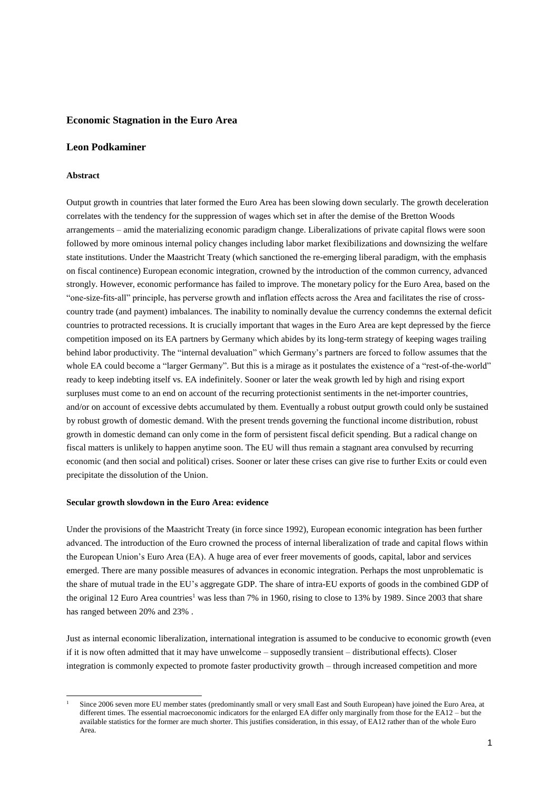## **Economic Stagnation in the Euro Area**

## **Leon Podkaminer**

### **Abstract**

-

Output growth in countries that later formed the Euro Area has been slowing down secularly. The growth deceleration correlates with the tendency for the suppression of wages which set in after the demise of the Bretton Woods arrangements – amid the materializing economic paradigm change. Liberalizations of private capital flows were soon followed by more ominous internal policy changes including labor market flexibilizations and downsizing the welfare state institutions. Under the Maastricht Treaty (which sanctioned the re-emerging liberal paradigm, with the emphasis on fiscal continence) European economic integration, crowned by the introduction of the common currency, advanced strongly. However, economic performance has failed to improve. The monetary policy for the Euro Area, based on the "one-size-fits-all" principle, has perverse growth and inflation effects across the Area and facilitates the rise of crosscountry trade (and payment) imbalances. The inability to nominally devalue the currency condemns the external deficit countries to protracted recessions. It is crucially important that wages in the Euro Area are kept depressed by the fierce competition imposed on its EA partners by Germany which abides by its long-term strategy of keeping wages trailing behind labor productivity. The "internal devaluation" which Germany's partners are forced to follow assumes that the whole EA could become a "larger Germany". But this is a mirage as it postulates the existence of a "rest-of-the-world" ready to keep indebting itself vs. EA indefinitely. Sooner or later the weak growth led by high and rising export surpluses must come to an end on account of the recurring protectionist sentiments in the net-importer countries, and/or on account of excessive debts accumulated by them. Eventually a robust output growth could only be sustained by robust growth of domestic demand. With the present trends governing the functional income distribution, robust growth in domestic demand can only come in the form of persistent fiscal deficit spending. But a radical change on fiscal matters is unlikely to happen anytime soon. The EU will thus remain a stagnant area convulsed by recurring economic (and then social and political) crises. Sooner or later these crises can give rise to further Exits or could even precipitate the dissolution of the Union.

#### **Secular growth slowdown in the Euro Area: evidence**

Under the provisions of the Maastricht Treaty (in force since 1992), European economic integration has been further advanced. The introduction of the Euro crowned the process of internal liberalization of trade and capital flows within the European Union's Euro Area (EA). A huge area of ever freer movements of goods, capital, labor and services emerged. There are many possible measures of advances in economic integration. Perhaps the most unproblematic is the share of mutual trade in the EU's aggregate GDP. The share of intra-EU exports of goods in the combined GDP of the original 12 Euro Area countries<sup>1</sup> was less than 7% in 1960, rising to close to 13% by 1989. Since 2003 that share has ranged between 20% and 23% .

Just as internal economic liberalization, international integration is assumed to be conducive to economic growth (even if it is now often admitted that it may have unwelcome – supposedly transient – distributional effects). Closer integration is commonly expected to promote faster productivity growth – through increased competition and more

Since 2006 seven more EU member states (predominantly small or very small East and South European) have joined the Euro Area, at different times. The essential macroeconomic indicators for the enlarged EA differ only marginally from those for the EA12 – but the available statistics for the former are much shorter. This justifies consideration, in this essay, of EA12 rather than of the whole Euro Area.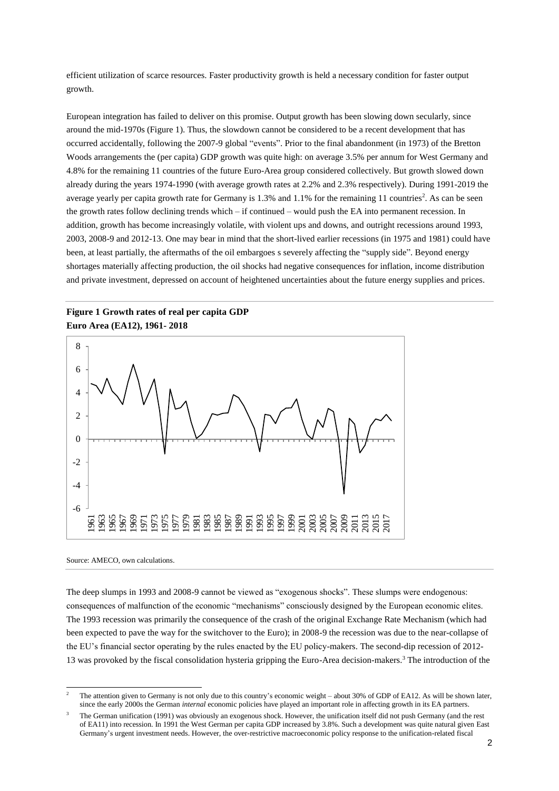efficient utilization of scarce resources. Faster productivity growth is held a necessary condition for faster output growth.

European integration has failed to deliver on this promise. Output growth has been slowing down secularly, since around the mid-1970s (Figure 1). Thus, the slowdown cannot be considered to be a recent development that has occurred accidentally, following the 2007-9 global "events". Prior to the final abandonment (in 1973) of the Bretton Woods arrangements the (per capita) GDP growth was quite high: on average 3.5% per annum for West Germany and 4.8% for the remaining 11 countries of the future Euro-Area group considered collectively. But growth slowed down already during the years 1974-1990 (with average growth rates at 2.2% and 2.3% respectively). During 1991-2019 the average yearly per capita growth rate for Germany is  $1.3\%$  and  $1.1\%$  for the remaining 11 countries<sup>2</sup>. As can be seen the growth rates follow declining trends which – if continued – would push the EA into permanent recession. In addition, growth has become increasingly volatile, with violent ups and downs, and outright recessions around 1993, 2003, 2008-9 and 2012-13. One may bear in mind that the short-lived earlier recessions (in 1975 and 1981) could have been, at least partially, the aftermaths of the oil embargoes s severely affecting the "supply side". Beyond energy shortages materially affecting production, the oil shocks had negative consequences for inflation, income distribution and private investment, depressed on account of heightened uncertainties about the future energy supplies and prices.

# **Figure 1 Growth rates of real per capita GDP Euro Area (EA12), 1961- 2018**



#### Source: AMECO, own calculations.

The deep slumps in 1993 and 2008-9 cannot be viewed as "exogenous shocks". These slumps were endogenous: consequences of malfunction of the economic "mechanisms" consciously designed by the European economic elites. The 1993 recession was primarily the consequence of the crash of the original Exchange Rate Mechanism (which had been expected to pave the way for the switchover to the Euro); in 2008-9 the recession was due to the near-collapse of the EU's financial sector operating by the rules enacted by the EU policy-makers. The second-dip recession of 2012- 13 was provoked by the fiscal consolidation hysteria gripping the Euro-Area decision-makers.<sup>3</sup> The introduction of the

<sup>1</sup> <sup>2</sup> The attention given to Germany is not only due to this country's economic weight – about 30% of GDP of EA12. As will be shown later, since the early 2000s the German *internal* economic policies have played an important role in affecting growth in its EA partners.

<sup>3</sup> The German unification (1991) was obviously an exogenous shock. However, the unification itself did not push Germany (and the rest of EA11) into recession. In 1991 the West German per capita GDP increased by 3.8%. Such a development was quite natural given East Germany's urgent investment needs. However, the over-restrictive macroeconomic policy response to the unification-related fiscal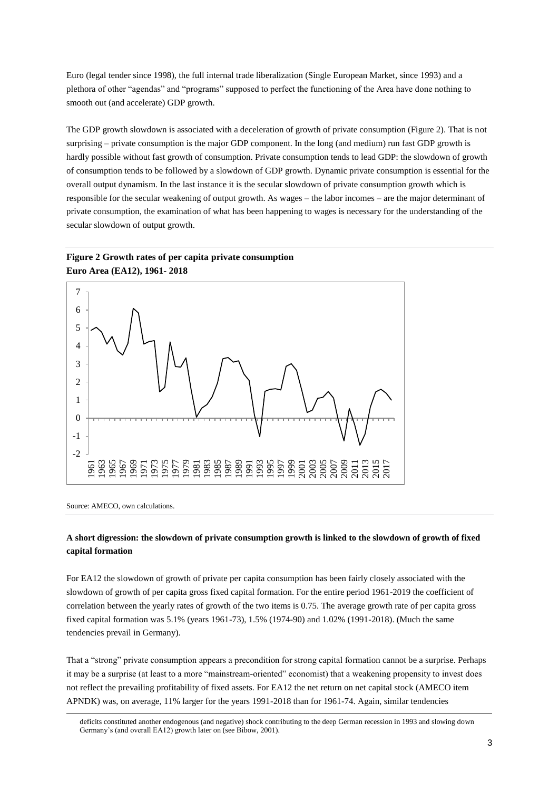Euro (legal tender since 1998), the full internal trade liberalization (Single European Market, since 1993) and a plethora of other "agendas" and "programs" supposed to perfect the functioning of the Area have done nothing to smooth out (and accelerate) GDP growth.

The GDP growth slowdown is associated with a deceleration of growth of private consumption (Figure 2). That is not surprising – private consumption is the major GDP component. In the long (and medium) run fast GDP growth is hardly possible without fast growth of consumption. Private consumption tends to lead GDP: the slowdown of growth of consumption tends to be followed by a slowdown of GDP growth. Dynamic private consumption is essential for the overall output dynamism. In the last instance it is the secular slowdown of private consumption growth which is responsible for the secular weakening of output growth. As wages – the labor incomes – are the major determinant of private consumption, the examination of what has been happening to wages is necessary for the understanding of the secular slowdown of output growth.

# **Figure 2 Growth rates of per capita private consumption Euro Area (EA12), 1961- 2018**



Source: AMECO, own calculations.

 $\overline{a}$ 

# **A short digression: the slowdown of private consumption growth is linked to the slowdown of growth of fixed capital formation**

For EA12 the slowdown of growth of private per capita consumption has been fairly closely associated with the slowdown of growth of per capita gross fixed capital formation. For the entire period 1961-2019 the coefficient of correlation between the yearly rates of growth of the two items is 0.75. The average growth rate of per capita gross fixed capital formation was 5.1% (years 1961-73), 1.5% (1974-90) and 1.02% (1991-2018). (Much the same tendencies prevail in Germany).

That a "strong" private consumption appears a precondition for strong capital formation cannot be a surprise. Perhaps it may be a surprise (at least to a more "mainstream-oriented" economist) that a weakening propensity to invest does not reflect the prevailing profitability of fixed assets. For EA12 the net return on net capital stock (AMECO item APNDK) was, on average, 11% larger for the years 1991-2018 than for 1961-74. Again, similar tendencies

deficits constituted another endogenous (and negative) shock contributing to the deep German recession in 1993 and slowing down Germany's (and overall EA12) growth later on (see Bibow, 2001).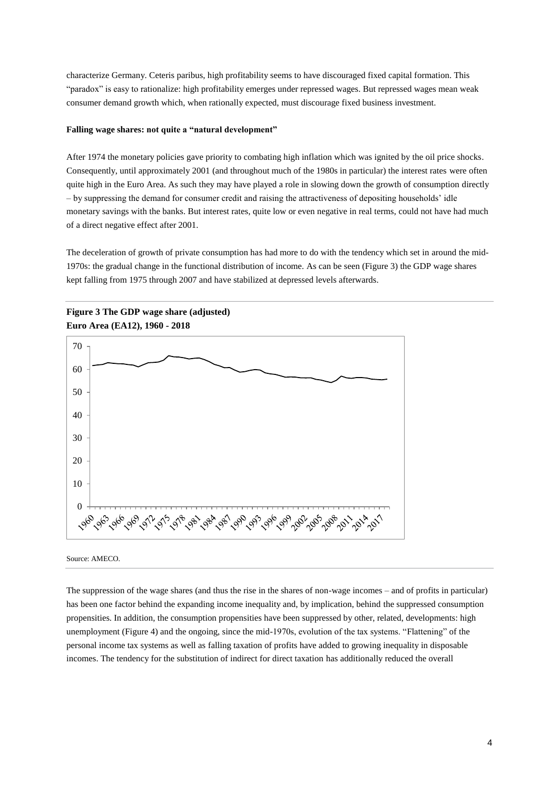characterize Germany. Ceteris paribus, high profitability seems to have discouraged fixed capital formation. This "paradox" is easy to rationalize: high profitability emerges under repressed wages. But repressed wages mean weak consumer demand growth which, when rationally expected, must discourage fixed business investment.

## **Falling wage shares: not quite a "natural development"**

After 1974 the monetary policies gave priority to combating high inflation which was ignited by the oil price shocks. Consequently, until approximately 2001 (and throughout much of the 1980s in particular) the interest rates were often quite high in the Euro Area. As such they may have played a role in slowing down the growth of consumption directly – by suppressing the demand for consumer credit and raising the attractiveness of depositing households' idle monetary savings with the banks. But interest rates, quite low or even negative in real terms, could not have had much of a direct negative effect after 2001.

The deceleration of growth of private consumption has had more to do with the tendency which set in around the mid-1970s: the gradual change in the functional distribution of income. As can be seen (Figure 3) the GDP wage shares kept falling from 1975 through 2007 and have stabilized at depressed levels afterwards.





Source: AMECO.

The suppression of the wage shares (and thus the rise in the shares of non-wage incomes – and of profits in particular) has been one factor behind the expanding income inequality and, by implication, behind the suppressed consumption propensities. In addition, the consumption propensities have been suppressed by other, related, developments: high unemployment (Figure 4) and the ongoing, since the mid-1970s, evolution of the tax systems. "Flattening" of the personal income tax systems as well as falling taxation of profits have added to growing inequality in disposable incomes. The tendency for the substitution of indirect for direct taxation has additionally reduced the overall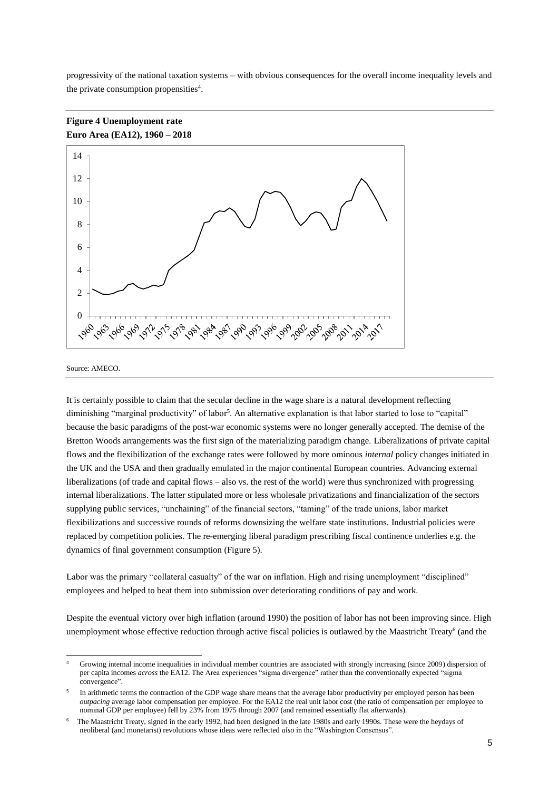progressivity of the national taxation systems – with obvious consequences for the overall income inequality levels and the private consumption propensities<sup>4</sup>.





-

It is certainly possible to claim that the secular decline in the wage share is a natural development reflecting diminishing "marginal productivity" of labor<sup>5</sup>. An alternative explanation is that labor started to lose to "capital" because the basic paradigms of the post-war economic systems were no longer generally accepted. The demise of the Bretton Woods arrangements was the first sign of the materializing paradigm change. Liberalizations of private capital flows and the flexibilization of the exchange rates were followed by more ominous *internal* policy changes initiated in the UK and the USA and then gradually emulated in the major continental European countries. Advancing external liberalizations (of trade and capital flows – also vs. the rest of the world) were thus synchronized with progressing internal liberalizations. The latter stipulated more or less wholesale privatizations and financialization of the sectors supplying public services, "unchaining" of the financial sectors, "taming" of the trade unions, labor market flexibilizations and successive rounds of reforms downsizing the welfare state institutions. Industrial policies were replaced by competition policies. The re-emerging liberal paradigm prescribing fiscal continence underlies e.g. the dynamics of final government consumption (Figure 5).

Labor was the primary "collateral casualty" of the war on inflation. High and rising unemployment "disciplined" employees and helped to beat them into submission over deteriorating conditions of pay and work.

Despite the eventual victory over high inflation (around 1990) the position of labor has not been improving since. High unemployment whose effective reduction through active fiscal policies is outlawed by the Maastricht Treaty<sup>6</sup> (and the

Source: AMECO.

<sup>4</sup> Growing internal income inequalities in individual member countries are associated with strongly increasing (since 2009) dispersion of per capita incomes *across* the EA12. The Area experiences "sigma divergence" rather than the conventionally expected "sigma convergence".

<sup>5</sup> In arithmetic terms the contraction of the GDP wage share means that the average labor productivity per employed person has been *outpacing* average labor compensation per employee. For the EA12 the real unit labor cost (the ratio of compensation per employee to nominal GDP per employee) fell by 23% from 1975 through 2007 (and remained essentially flat afterwards).

<sup>6</sup> The Maastricht Treaty, signed in the early 1992, had been designed in the late 1980s and early 1990s. These were the heydays of neoliberal (and monetarist) revolutions whose ideas were reflected *also* in the "Washington Consensus".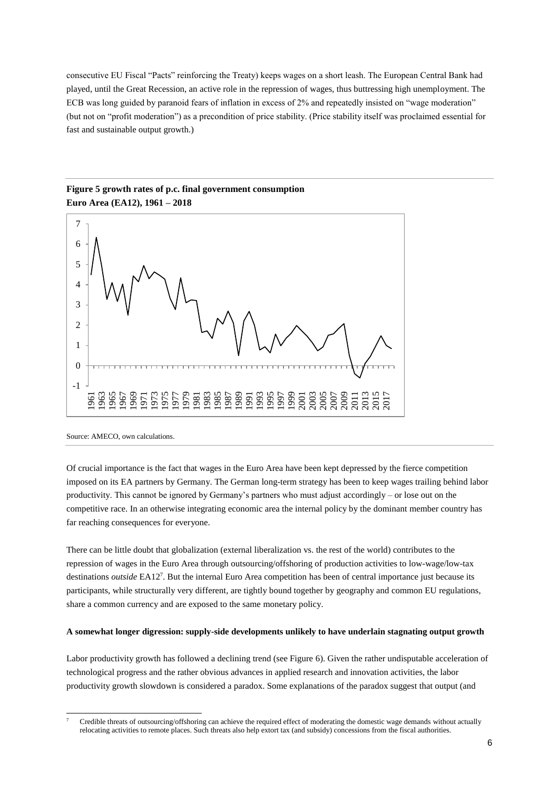consecutive EU Fiscal "Pacts" reinforcing the Treaty) keeps wages on a short leash. The European Central Bank had played, until the Great Recession, an active role in the repression of wages, thus buttressing high unemployment. The ECB was long guided by paranoid fears of inflation in excess of 2% and repeatedly insisted on "wage moderation" (but not on "profit moderation") as a precondition of price stability. (Price stability itself was proclaimed essential for fast and sustainable output growth.)



# **Figure 5 growth rates of p.c. final government consumption Euro Area (EA12), 1961 – 2018**

Source: AMECO, own calculations.

Of crucial importance is the fact that wages in the Euro Area have been kept depressed by the fierce competition imposed on its EA partners by Germany. The German long-term strategy has been to keep wages trailing behind labor productivity. This cannot be ignored by Germany's partners who must adjust accordingly – or lose out on the competitive race. In an otherwise integrating economic area the internal policy by the dominant member country has far reaching consequences for everyone.

There can be little doubt that globalization (external liberalization vs. the rest of the world) contributes to the repression of wages in the Euro Area through outsourcing/offshoring of production activities to low-wage/low-tax destinations *outside* EA12<sup>7</sup> . But the internal Euro Area competition has been of central importance just because its participants, while structurally very different, are tightly bound together by geography and common EU regulations, share a common currency and are exposed to the same monetary policy.

## **A somewhat longer digression: supply-side developments unlikely to have underlain stagnating output growth**

Labor productivity growth has followed a declining trend (see Figure 6). Given the rather undisputable acceleration of technological progress and the rather obvious advances in applied research and innovation activities, the labor productivity growth slowdown is considered a paradox. Some explanations of the paradox suggest that output (and

<sup>-</sup><sup>7</sup> Credible threats of outsourcing/offshoring can achieve the required effect of moderating the domestic wage demands without actually relocating activities to remote places. Such threats also help extort tax (and subsidy) concessions from the fiscal authorities.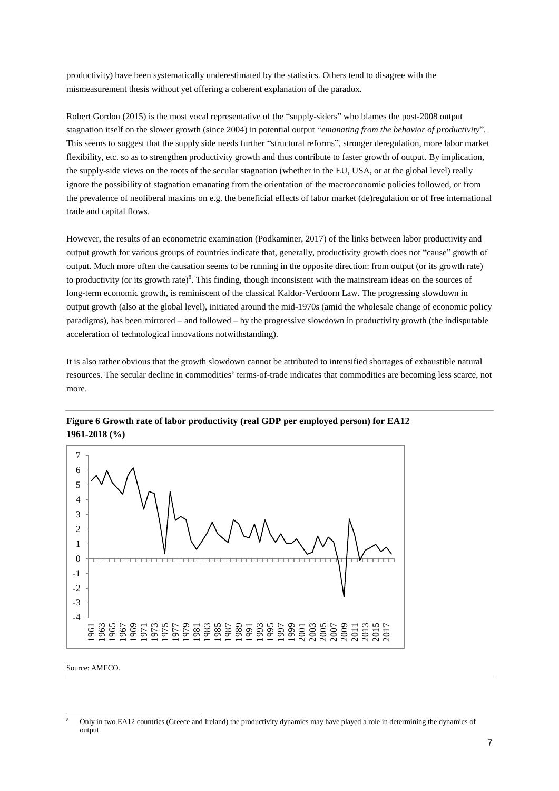productivity) have been systematically underestimated by the statistics. Others tend to disagree with the mismeasurement thesis without yet offering a coherent explanation of the paradox.

Robert Gordon (2015) is the most vocal representative of the "supply-siders" who blames the post-2008 output stagnation itself on the slower growth (since 2004) in potential output "*emanating from the behavior of productivity*". This seems to suggest that the supply side needs further "structural reforms", stronger deregulation, more labor market flexibility, etc. so as to strengthen productivity growth and thus contribute to faster growth of output. By implication, the supply-side views on the roots of the secular stagnation (whether in the EU, USA, or at the global level) really ignore the possibility of stagnation emanating from the orientation of the macroeconomic policies followed, or from the prevalence of neoliberal maxims on e.g. the beneficial effects of labor market (de)regulation or of free international trade and capital flows.

However, the results of an econometric examination (Podkaminer, 2017) of the links between labor productivity and output growth for various groups of countries indicate that, generally, productivity growth does not "cause" growth of output. Much more often the causation seems to be running in the opposite direction: from output (or its growth rate) to productivity (or its growth rate)<sup>8</sup>. This finding, though inconsistent with the mainstream ideas on the sources of long-term economic growth, is reminiscent of the classical Kaldor-Verdoorn Law. The progressing slowdown in output growth (also at the global level), initiated around the mid-1970s (amid the wholesale change of economic policy paradigms), has been mirrored – and followed – by the progressive slowdown in productivity growth (the indisputable acceleration of technological innovations notwithstanding).

It is also rather obvious that the growth slowdown cannot be attributed to intensified shortages of exhaustible natural resources. The secular decline in commodities' terms-of-trade indicates that commodities are becoming less scarce, not more.



**Figure 6 Growth rate of labor productivity (real GDP per employed person) for EA12 1961-2018 (%)**

Source: AMECO.

-

Only in two EA12 countries (Greece and Ireland) the productivity dynamics may have played a role in determining the dynamics of output.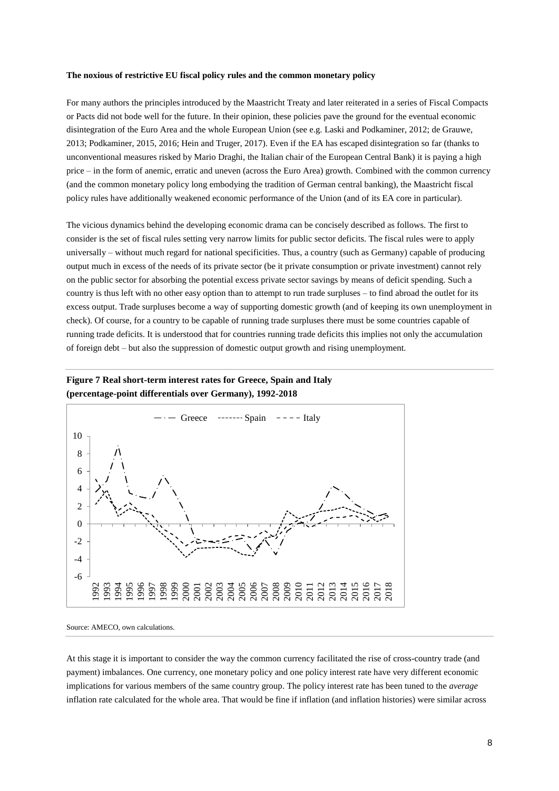#### **The noxious of restrictive EU fiscal policy rules and the common monetary policy**

For many authors the principles introduced by the Maastricht Treaty and later reiterated in a series of Fiscal Compacts or Pacts did not bode well for the future. In their opinion, these policies pave the ground for the eventual economic disintegration of the Euro Area and the whole European Union (see e.g. Laski and Podkaminer, 2012; de Grauwe, 2013; Podkaminer, 2015, 2016; Hein and Truger, 2017). Even if the EA has escaped disintegration so far (thanks to unconventional measures risked by Mario Draghi, the Italian chair of the European Central Bank) it is paying a high price – in the form of anemic, erratic and uneven (across the Euro Area) growth. Combined with the common currency (and the common monetary policy long embodying the tradition of German central banking), the Maastricht fiscal policy rules have additionally weakened economic performance of the Union (and of its EA core in particular).

The vicious dynamics behind the developing economic drama can be concisely described as follows. The first to consider is the set of fiscal rules setting very narrow limits for public sector deficits. The fiscal rules were to apply universally – without much regard for national specificities. Thus, a country (such as Germany) capable of producing output much in excess of the needs of its private sector (be it private consumption or private investment) cannot rely on the public sector for absorbing the potential excess private sector savings by means of deficit spending. Such a country is thus left with no other easy option than to attempt to run trade surpluses – to find abroad the outlet for its excess output. Trade surpluses become a way of supporting domestic growth (and of keeping its own unemployment in check). Of course, for a country to be capable of running trade surpluses there must be some countries capable of running trade deficits. It is understood that for countries running trade deficits this implies not only the accumulation of foreign debt – but also the suppression of domestic output growth and rising unemployment.

# **Figure 7 Real short-term interest rates for Greece, Spain and Italy (percentage-point differentials over Germany), 1992-2018**



Source: AMECO, own calculations.

At this stage it is important to consider the way the common currency facilitated the rise of cross-country trade (and payment) imbalances. One currency, one monetary policy and one policy interest rate have very different economic implications for various members of the same country group. The policy interest rate has been tuned to the *average* inflation rate calculated for the whole area. That would be fine if inflation (and inflation histories) were similar across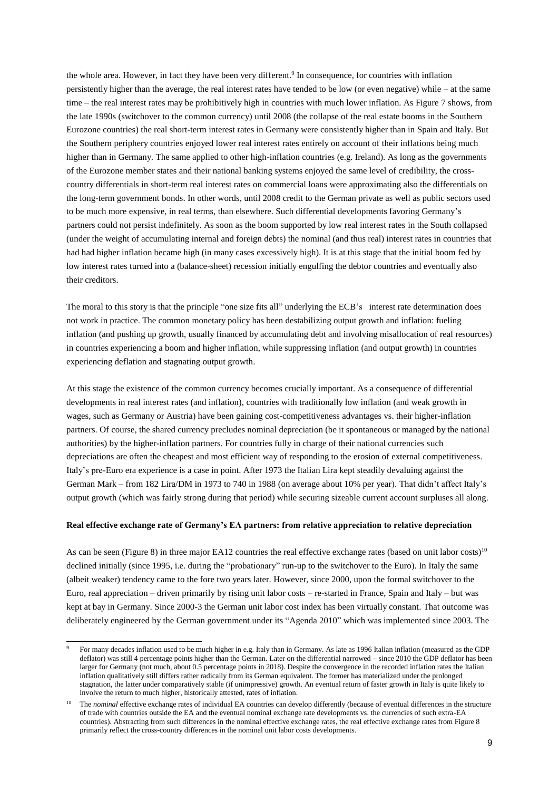the whole area. However, in fact they have been very different. 9 In consequence, for countries with inflation persistently higher than the average, the real interest rates have tended to be low (or even negative) while – at the same time – the real interest rates may be prohibitively high in countries with much lower inflation. As Figure 7 shows, from the late 1990s (switchover to the common currency) until 2008 (the collapse of the real estate booms in the Southern Eurozone countries) the real short-term interest rates in Germany were consistently higher than in Spain and Italy. But the Southern periphery countries enjoyed lower real interest rates entirely on account of their inflations being much higher than in Germany. The same applied to other high-inflation countries (e.g. Ireland). As long as the governments of the Eurozone member states and their national banking systems enjoyed the same level of credibility, the crosscountry differentials in short-term real interest rates on commercial loans were approximating also the differentials on the long-term government bonds. In other words, until 2008 credit to the German private as well as public sectors used to be much more expensive, in real terms, than elsewhere. Such differential developments favoring Germany's partners could not persist indefinitely. As soon as the boom supported by low real interest rates in the South collapsed (under the weight of accumulating internal and foreign debts) the nominal (and thus real) interest rates in countries that had had higher inflation became high (in many cases excessively high). It is at this stage that the initial boom fed by low interest rates turned into a (balance-sheet) recession initially engulfing the debtor countries and eventually also their creditors.

The moral to this story is that the principle "one size fits all" underlying the ECB's interest rate determination does not work in practice. The common monetary policy has been destabilizing output growth and inflation: fueling inflation (and pushing up growth, usually financed by accumulating debt and involving misallocation of real resources) in countries experiencing a boom and higher inflation, while suppressing inflation (and output growth) in countries experiencing deflation and stagnating output growth.

At this stage the existence of the common currency becomes crucially important. As a consequence of differential developments in real interest rates (and inflation), countries with traditionally low inflation (and weak growth in wages, such as Germany or Austria) have been gaining cost-competitiveness advantages vs. their higher-inflation partners. Of course, the shared currency precludes nominal depreciation (be it spontaneous or managed by the national authorities) by the higher-inflation partners. For countries fully in charge of their national currencies such depreciations are often the cheapest and most efficient way of responding to the erosion of external competitiveness. Italy's pre-Euro era experience is a case in point. After 1973 the Italian Lira kept steadily devaluing against the German Mark – from 182 Lira/DM in 1973 to 740 in 1988 (on average about 10% per year). That didn't affect Italy's output growth (which was fairly strong during that period) while securing sizeable current account surpluses all along.

## **Real effective exchange rate of Germany's EA partners: from relative appreciation to relative depreciation**

As can be seen (Figure 8) in three major EA12 countries the real effective exchange rates (based on unit labor costs)<sup>10</sup> declined initially (since 1995, i.e. during the "probationary" run-up to the switchover to the Euro). In Italy the same (albeit weaker) tendency came to the fore two years later. However, since 2000, upon the formal switchover to the Euro, real appreciation – driven primarily by rising unit labor costs – re-started in France, Spain and Italy – but was kept at bay in Germany. Since 2000-3 the German unit labor cost index has been virtually constant. That outcome was deliberately engineered by the German government under its "Agenda 2010" which was implemented since 2003. The

-

<sup>9</sup> For many decades inflation used to be much higher in e.g. Italy than in Germany. As late as 1996 Italian inflation (measured as the GDP deflator) was still 4 percentage points higher than the German. Later on the differential narrowed – since 2010 the GDP deflator has been larger for Germany (not much, about 0.5 percentage points in 2018). Despite the convergence in the recorded inflation rates the Italian inflation qualitatively still differs rather radically from its German equivalent. The former has materialized under the prolonged stagnation, the latter under comparatively stable (if unimpressive) growth. An eventual return of faster growth in Italy is quite likely to involve the return to much higher, historically attested, rates of inflation.

<sup>10</sup> The *nominal* effective exchange rates of individual EA countries can develop differently (because of eventual differences in the structure of trade with countries outside the EA and the eventual nominal exchange rate developments vs. the currencies of such extra-EA countries). Abstracting from such differences in the nominal effective exchange rates, the real effective exchange rates from Figure 8 primarily reflect the cross-country differences in the nominal unit labor costs developments.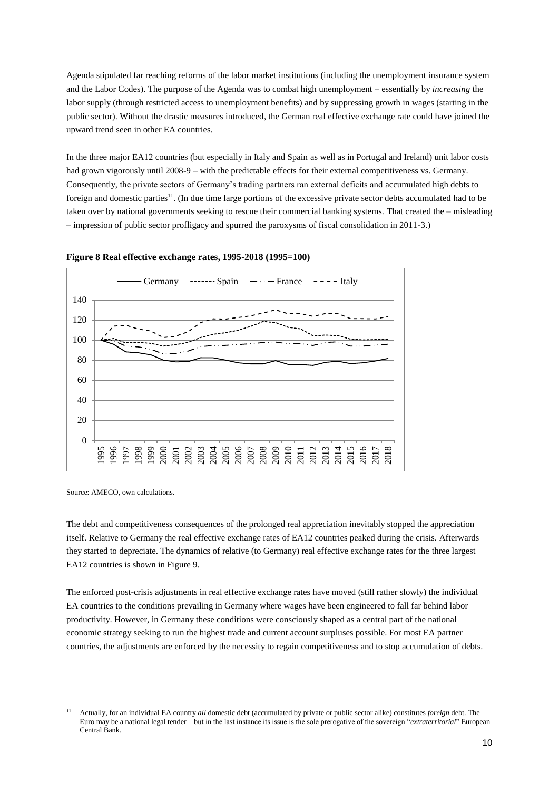Agenda stipulated far reaching reforms of the labor market institutions (including the unemployment insurance system and the Labor Codes). The purpose of the Agenda was to combat high unemployment – essentially by *increasing* the labor supply (through restricted access to unemployment benefits) and by suppressing growth in wages (starting in the public sector). Without the drastic measures introduced, the German real effective exchange rate could have joined the upward trend seen in other EA countries.

In the three major EA12 countries (but especially in Italy and Spain as well as in Portugal and Ireland) unit labor costs had grown vigorously until 2008-9 – with the predictable effects for their external competitiveness vs. Germany. Consequently, the private sectors of Germany's trading partners ran external deficits and accumulated high debts to foreign and domestic parties<sup>11</sup>. (In due time large portions of the excessive private sector debts accumulated had to be taken over by national governments seeking to rescue their commercial banking systems. That created the – misleading – impression of public sector profligacy and spurred the paroxysms of fiscal consolidation in 2011-3.)





Source: AMECO, own calculations.

The debt and competitiveness consequences of the prolonged real appreciation inevitably stopped the appreciation itself. Relative to Germany the real effective exchange rates of EA12 countries peaked during the crisis. Afterwards they started to depreciate. The dynamics of relative (to Germany) real effective exchange rates for the three largest EA12 countries is shown in Figure 9.

The enforced post-crisis adjustments in real effective exchange rates have moved (still rather slowly) the individual EA countries to the conditions prevailing in Germany where wages have been engineered to fall far behind labor productivity. However, in Germany these conditions were consciously shaped as a central part of the national economic strategy seeking to run the highest trade and current account surpluses possible. For most EA partner countries, the adjustments are enforced by the necessity to regain competitiveness and to stop accumulation of debts.

<sup>-</sup><sup>11</sup> Actually, for an individual EA country *all* domestic debt (accumulated by private or public sector alike) constitutes *foreign* debt. The Euro may be a national legal tender – but in the last instance its issue is the sole prerogative of the sovereign "*extraterritorial*" European Central Bank.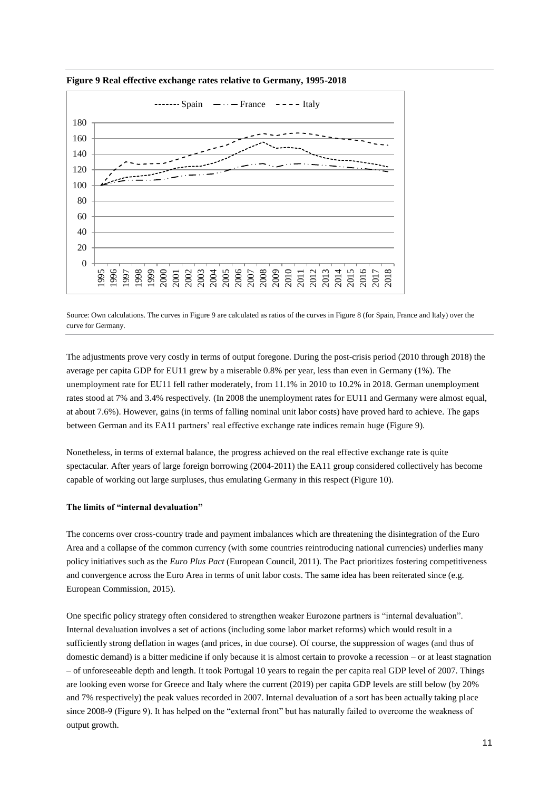

**Figure 9 Real effective exchange rates relative to Germany, 1995-2018**

Source: Own calculations. The curves in Figure 9 are calculated as ratios of the curves in Figure 8 (for Spain, France and Italy) over the curve for Germany.

The adjustments prove very costly in terms of output foregone. During the post-crisis period (2010 through 2018) the average per capita GDP for EU11 grew by a miserable 0.8% per year, less than even in Germany (1%). The unemployment rate for EU11 fell rather moderately, from 11.1% in 2010 to 10.2% in 2018. German unemployment rates stood at 7% and 3.4% respectively. (In 2008 the unemployment rates for EU11 and Germany were almost equal, at about 7.6%). However, gains (in terms of falling nominal unit labor costs) have proved hard to achieve. The gaps between German and its EA11 partners' real effective exchange rate indices remain huge (Figure 9).

Nonetheless, in terms of external balance, the progress achieved on the real effective exchange rate is quite spectacular. After years of large foreign borrowing (2004-2011) the EA11 group considered collectively has become capable of working out large surpluses, thus emulating Germany in this respect (Figure 10).

## **The limits of "internal devaluation"**

The concerns over cross-country trade and payment imbalances which are threatening the disintegration of the Euro Area and a collapse of the common currency (with some countries reintroducing national currencies) underlies many policy initiatives such as the *Euro Plus Pact* (European Council, 2011). The Pact prioritizes fostering competitiveness and convergence across the Euro Area in terms of unit labor costs. The same idea has been reiterated since (e.g. European Commission, 2015).

One specific policy strategy often considered to strengthen weaker Eurozone partners is "internal devaluation". Internal devaluation involves a set of actions (including some labor market reforms) which would result in a sufficiently strong deflation in wages (and prices, in due course). Of course, the suppression of wages (and thus of domestic demand) is a bitter medicine if only because it is almost certain to provoke a recession – or at least stagnation – of unforeseeable depth and length. It took Portugal 10 years to regain the per capita real GDP level of 2007. Things are looking even worse for Greece and Italy where the current (2019) per capita GDP levels are still below (by 20% and 7% respectively) the peak values recorded in 2007. Internal devaluation of a sort has been actually taking place since 2008-9 (Figure 9). It has helped on the "external front" but has naturally failed to overcome the weakness of output growth.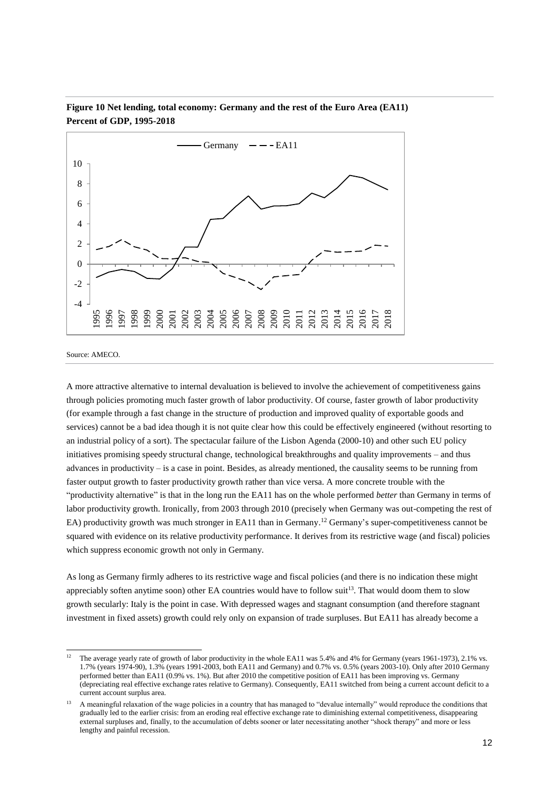

**Figure 10 Net lending, total economy: Germany and the rest of the Euro Area (EA11) Percent of GDP, 1995-2018**

Source: AMECO.

A more attractive alternative to internal devaluation is believed to involve the achievement of competitiveness gains through policies promoting much faster growth of labor productivity. Of course, faster growth of labor productivity (for example through a fast change in the structure of production and improved quality of exportable goods and services) cannot be a bad idea though it is not quite clear how this could be effectively engineered (without resorting to an industrial policy of a sort). The spectacular failure of the Lisbon Agenda (2000-10) and other such EU policy initiatives promising speedy structural change, technological breakthroughs and quality improvements – and thus advances in productivity  $-$  is a case in point. Besides, as already mentioned, the causality seems to be running from faster output growth to faster productivity growth rather than vice versa. A more concrete trouble with the "productivity alternative" is that in the long run the EA11 has on the whole performed *better* than Germany in terms of labor productivity growth. Ironically, from 2003 through 2010 (precisely when Germany was out-competing the rest of EA) productivity growth was much stronger in EA11 than in Germany.<sup>12</sup> Germany's super-competitiveness cannot be squared with evidence on its relative productivity performance. It derives from its restrictive wage (and fiscal) policies which suppress economic growth not only in Germany.

As long as Germany firmly adheres to its restrictive wage and fiscal policies (and there is no indication these might appreciably soften anytime soon) other EA countries would have to follow suit<sup>13</sup>. That would doom them to slow growth secularly: Italy is the point in case. With depressed wages and stagnant consumption (and therefore stagnant investment in fixed assets) growth could rely only on expansion of trade surpluses. But EA11 has already become a

 $\overline{12}$ <sup>12</sup> The average yearly rate of growth of labor productivity in the whole EA11 was 5.4% and 4% for Germany (years 1961-1973), 2.1% vs. 1.7% (years 1974-90), 1.3% (years 1991-2003, both EA11 and Germany) and 0.7% vs. 0.5% (years 2003-10). Only after 2010 Germany performed better than EA11 (0.9% vs. 1%). But after 2010 the competitive position of EA11 has been improving vs. Germany (depreciating real effective exchange rates relative to Germany). Consequently, EA11 switched from being a current account deficit to a current account surplus area.

<sup>13</sup> A meaningful relaxation of the wage policies in a country that has managed to "devalue internally" would reproduce the conditions that gradually led to the earlier crisis: from an eroding real effective exchange rate to diminishing external competitiveness, disappearing external surpluses and, finally, to the accumulation of debts sooner or later necessitating another "shock therapy" and more or less lengthy and painful recession.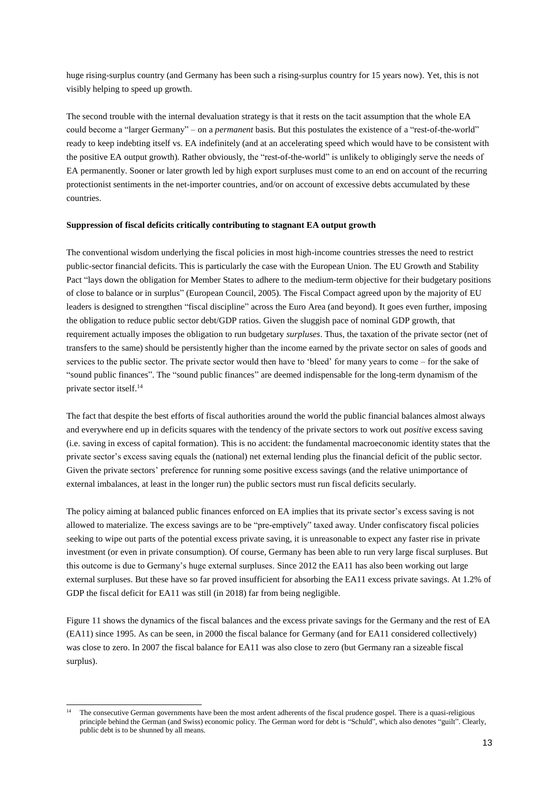huge rising-surplus country (and Germany has been such a rising-surplus country for 15 years now). Yet, this is not visibly helping to speed up growth.

The second trouble with the internal devaluation strategy is that it rests on the tacit assumption that the whole EA could become a "larger Germany" – on a *permanent* basis. But this postulates the existence of a "rest-of-the-world" ready to keep indebting itself vs. EA indefinitely (and at an accelerating speed which would have to be consistent with the positive EA output growth). Rather obviously, the "rest-of-the-world" is unlikely to obligingly serve the needs of EA permanently. Sooner or later growth led by high export surpluses must come to an end on account of the recurring protectionist sentiments in the net-importer countries, and/or on account of excessive debts accumulated by these countries.

## **Suppression of fiscal deficits critically contributing to stagnant EA output growth**

The conventional wisdom underlying the fiscal policies in most high-income countries stresses the need to restrict public-sector financial deficits. This is particularly the case with the European Union. The EU Growth and Stability Pact "lays down the obligation for Member States to adhere to the medium-term objective for their budgetary positions of close to balance or in surplus" (European Council, 2005). The Fiscal Compact agreed upon by the majority of EU leaders is designed to strengthen "fiscal discipline" across the Euro Area (and beyond). It goes even further, imposing the obligation to reduce public sector debt/GDP ratios. Given the sluggish pace of nominal GDP growth, that requirement actually imposes the obligation to run budgetary *surpluses*. Thus, the taxation of the private sector (net of transfers to the same) should be persistently higher than the income earned by the private sector on sales of goods and services to the public sector. The private sector would then have to 'bleed' for many years to come – for the sake of "sound public finances". The "sound public finances" are deemed indispensable for the long-term dynamism of the private sector itself. 14

The fact that despite the best efforts of fiscal authorities around the world the public financial balances almost always and everywhere end up in deficits squares with the tendency of the private sectors to work out *positive* excess saving (i.e. saving in excess of capital formation). This is no accident: the fundamental macroeconomic identity states that the private sector's excess saving equals the (national) net external lending plus the financial deficit of the public sector. Given the private sectors' preference for running some positive excess savings (and the relative unimportance of external imbalances, at least in the longer run) the public sectors must run fiscal deficits secularly.

The policy aiming at balanced public finances enforced on EA implies that its private sector's excess saving is not allowed to materialize. The excess savings are to be "pre-emptively" taxed away. Under confiscatory fiscal policies seeking to wipe out parts of the potential excess private saving, it is unreasonable to expect any faster rise in private investment (or even in private consumption). Of course, Germany has been able to run very large fiscal surpluses. But this outcome is due to Germany's huge external surpluses. Since 2012 the EA11 has also been working out large external surpluses. But these have so far proved insufficient for absorbing the EA11 excess private savings. At 1.2% of GDP the fiscal deficit for EA11 was still (in 2018) far from being negligible.

Figure 11 shows the dynamics of the fiscal balances and the excess private savings for the Germany and the rest of EA (EA11) since 1995. As can be seen, in 2000 the fiscal balance for Germany (and for EA11 considered collectively) was close to zero. In 2007 the fiscal balance for EA11 was also close to zero (but Germany ran a sizeable fiscal surplus).

-

The consecutive German governments have been the most ardent adherents of the fiscal prudence gospel. There is a quasi-religious principle behind the German (and Swiss) economic policy. The German word for debt is "Schuld", which also denotes "guilt". Clearly, public debt is to be shunned by all means.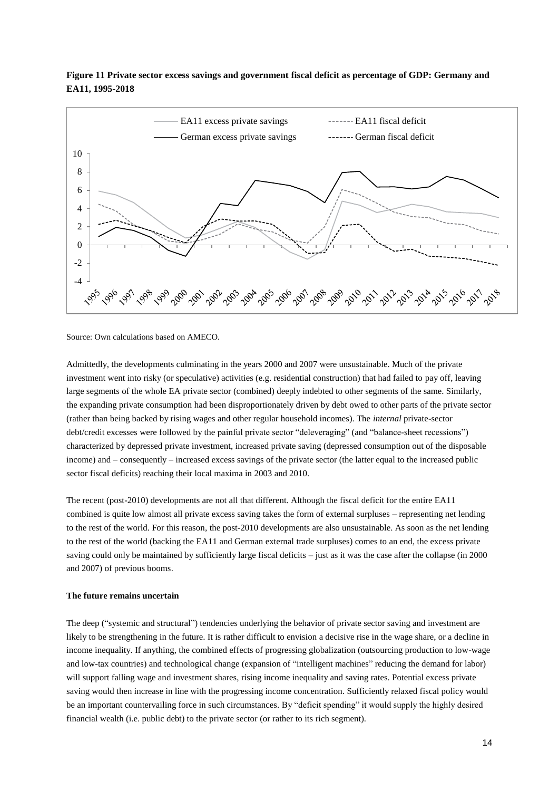

# **Figure 11 Private sector excess savings and government fiscal deficit as percentage of GDP: Germany and EA11, 1995-2018**

Source: Own calculations based on AMECO.

Admittedly, the developments culminating in the years 2000 and 2007 were unsustainable. Much of the private investment went into risky (or speculative) activities (e.g. residential construction) that had failed to pay off, leaving large segments of the whole EA private sector (combined) deeply indebted to other segments of the same. Similarly, the expanding private consumption had been disproportionately driven by debt owed to other parts of the private sector (rather than being backed by rising wages and other regular household incomes). The *internal* private-sector debt/credit excesses were followed by the painful private sector "deleveraging" (and "balance-sheet recessions") characterized by depressed private investment, increased private saving (depressed consumption out of the disposable income) and – consequently – increased excess savings of the private sector (the latter equal to the increased public sector fiscal deficits) reaching their local maxima in 2003 and 2010.

The recent (post-2010) developments are not all that different. Although the fiscal deficit for the entire EA11 combined is quite low almost all private excess saving takes the form of external surpluses – representing net lending to the rest of the world. For this reason, the post-2010 developments are also unsustainable. As soon as the net lending to the rest of the world (backing the EA11 and German external trade surpluses) comes to an end, the excess private saving could only be maintained by sufficiently large fiscal deficits – just as it was the case after the collapse (in 2000 and 2007) of previous booms.

## **The future remains uncertain**

The deep ("systemic and structural") tendencies underlying the behavior of private sector saving and investment are likely to be strengthening in the future. It is rather difficult to envision a decisive rise in the wage share, or a decline in income inequality. If anything, the combined effects of progressing globalization (outsourcing production to low-wage and low-tax countries) and technological change (expansion of "intelligent machines" reducing the demand for labor) will support falling wage and investment shares, rising income inequality and saving rates. Potential excess private saving would then increase in line with the progressing income concentration. Sufficiently relaxed fiscal policy would be an important countervailing force in such circumstances. By "deficit spending" it would supply the highly desired financial wealth (i.e. public debt) to the private sector (or rather to its rich segment).